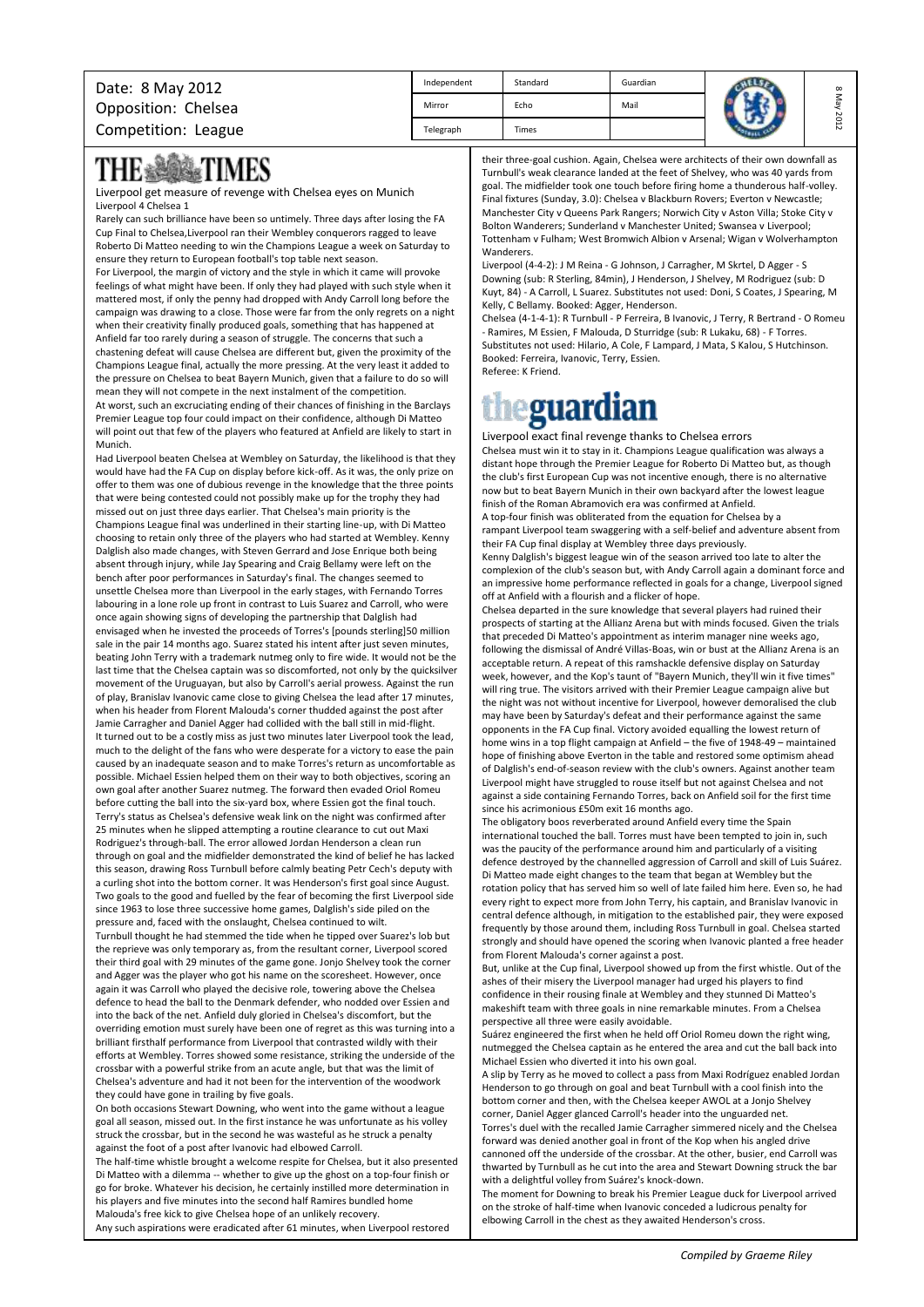| Date: 8 May 2012    | Independent | Standard | Guardian | $\infty$ |
|---------------------|-------------|----------|----------|----------|
| Opposition: Chelsea | Mirror      | Echo     | Mail     |          |
| Competition: League | Telegraph   | Times    |          |          |

### **THE SALES** TIMES

Liverpool get measure of revenge with Chelsea eyes on Munich Liverpool 4 Chelsea 1

Rarely can such brilliance have been so untimely. Three days after losing the FA Cup Final to Chelsea,Liverpool ran their Wembley conquerors ragged to leave Roberto Di Matteo needing to win the Champions League a week on Saturday to ensure they return to European football's top table next season.

For Liverpool, the margin of victory and the style in which it came will provoke feelings of what might have been. If only they had played with such style when it mattered most, if only the penny had dropped with Andy Carroll long before the campaign was drawing to a close. Those were far from the only regrets on a night when their creativity finally produced goals, something that has happened at Anfield far too rarely during a season of struggle. The concerns that such a chastening defeat will cause Chelsea are different but, given the proximity of the Champions League final, actually the more pressing. At the very least it added to the pressure on Chelsea to beat Bayern Munich, given that a failure to do so will

mean they will not compete in the next instalment of the competition. At worst, such an excruciating ending of their chances of finishing in the Barclays Premier League top four could impact on their confidence, although Di Matteo will point out that few of the players who featured at Anfield are likely to start in Munich.

Had Liverpool beaten Chelsea at Wembley on Saturday, the likelihood is that they would have had the FA Cup on display before kick-off. As it was, the only prize on offer to them was one of dubious revenge in the knowledge that the three points that were being contested could not possibly make up for the trophy they had missed out on just three days earlier. That Chelsea's main priority is the Champions League final was underlined in their starting line-up, with Di Matteo choosing to retain only three of the players who had started at Wembley. Kenny Dalglish also made changes, with Steven Gerrard and Jose Enrique both being absent through injury, while Jay Spearing and Craig Bellamy were left on the bench after poor performances in Saturday's final. The changes seemed to unsettle Chelsea more than Liverpool in the early stages, with Fernando Torres labouring in a lone role up front in contrast to Luis Suarez and Carroll, who were once again showing signs of developing the partnership that Dalglish had envisaged when he invested the proceeds of Torres's [pounds sterling]50 million sale in the pair 14 months ago. Suarez stated his intent after just seven minutes, beating John Terry with a trademark nutmeg only to fire wide. It would not be the last time that the Chelsea captain was so discomforted, not only by the quicksilver movement of the Uruguayan, but also by Carroll's aerial prowess. Against the run of play, Branislav Ivanovic came close to giving Chelsea the lead after 17 minutes, when his header from Florent Malouda's corner thudded against the post after Jamie Carragher and Daniel Agger had collided with the ball still in mid-flight. It turned out to be a costly miss as just two minutes later Liverpool took the lead, much to the delight of the fans who were desperate for a victory to ease the pain caused by an inadequate season and to make Torres's return as uncomfortable as possible. Michael Essien helped them on their way to both objectives, scoring an own goal after another Suarez nutmeg. The forward then evaded Oriol Romeu before cutting the ball into the six-yard box, where Essien got the final touch. Terry's status as Chelsea's defensive weak link on the night was confirmed after 25 minutes when he slipped attempting a routine clearance to cut out Maxi Rodriguez's through-ball. The error allowed Jordan Henderson a clean run through on goal and the midfielder demonstrated the kind of belief he has lacked this season, drawing Ross Turnbull before calmly beating Petr Cech's deputy with a curling shot into the bottom corner. It was Henderson's first goal since August. Two goals to the good and fuelled by the fear of becoming the first Liverpool side since 1963 to lose three successive home games, Dalglish's side piled on the pressure and, faced with the onslaught, Chelsea continued to wilt. Turnbull thought he had stemmed the tide when he tipped over Suarez's lob but the reprieve was only temporary as, from the resultant corner, Liverpool scored their third goal with 29 minutes of the game gone. Jonjo Shelvey took the corner and Agger was the player who got his name on the scoresheet. However, once again it was Carroll who played the decisive role, towering above the Chelsea defence to head the ball to the Denmark defender, who nodded over Essien and into the back of the net. Anfield duly gloried in Chelsea's discomfort, but the overriding emotion must surely have been one of regret as this was turning into a brilliant firsthalf performance from Liverpool that contrasted wildly with their efforts at Wembley. Torres showed some resistance, striking the underside of the

crossbar with a powerful strike from an acute angle, but that was the limit of Chelsea's adventure and had it not been for the intervention of the woodwork they could have gone in trailing by five goals. On both occasions Stewart Downing, who went into the game without a league

goal all season, missed out. In the first instance he was unfortunate as his volley struck the crossbar, but in the second he was wasteful as he struck a penalty against the foot of a post after Ivanovic had elbowed Carroll.

The half-time whistle brought a welcome respite for Chelsea, but it also presented Di Matteo with a dilemma -- whether to give up the ghost on a top-four finish or go for broke. Whatever his decision, he certainly instilled more determination in his players and five minutes into the second half Ramires bundled home Malouda's free kick to give Chelsea hope of an unlikely recovery. Any such aspirations were eradicated after 61 minutes, when Liverpool restored

their three-goal cushion. Again, Chelsea were architects of their own downfall as Turnbull's weak clearance landed at the feet of Shelvey, who was 40 yards from goal. The midfielder took one touch before firing home a thunderous half-volley. Final fixtures (Sunday, 3.0): Chelsea v Blackburn Rovers; Everton v Newcastle; Manchester City v Queens Park Rangers; Norwich City v Aston Villa; Stoke City v Bolton Wanderers; Sunderland v Manchester United; Swansea v Liverpool; Tottenham v Fulham; West Bromwich Albion v Arsenal; Wigan v Wolverhampton **Wanderers** 

Liverpool (4-4-2): J M Reina - G Johnson, J Carragher, M Skrtel, D Agger - S Downing (sub: R Sterling, 84min), J Henderson, J Shelvey, M Rodriguez (sub: D Kuyt, 84) - A Carroll, L Suarez. Substitutes not used: Doni, S Coates, J Spearing, M Kelly, C Bellamy. Booked: Agger, Henderson.

Chelsea (4-1-4-1): R Turnbull - P Ferreira, B Ivanovic, J Terry, R Bertrand - O Romeu - Ramires, M Essien, F Malouda, D Sturridge (sub: R Lukaku, 68) - F Torres. Substitutes not used: Hilario, A Cole, F Lampard, J Mata, S Kalou, S Hutchinson. Booked: Ferreira, Ivanovic, Terry, Essien. Referee: K Friend.

# e<mark>guardian</mark>

Liverpool exact final revenge thanks to Chelsea errors [Chelsea](http://www.guardian.co.uk/football/chelsea) must win it to stay in it. Champions League qualification was always a distant hope through the [Premier League](http://www.guardian.co.uk/football/premierleague) for Roberto Di Matteo but, as though the club's first European Cup was not incentive enough, there is no alternative now but to beat Bayern Munich in their own backyard after the lowest league finish of the Roman Abramovich era was confirmed at Anfield.

A top-four finish was obliterated from the equation for Chelsea by a rampant [Liverpool](http://www.guardian.co.uk/football/liverpool) team swaggering with a self-belief and adventure absent from their FA Cup final display at Wembley three days previously.

Kenny Dalglish's biggest league win of the season arrived too late to alter the complexion of the club's season but, with Andy Carroll again a dominant force and an impressive home performance reflected in goals for a change, Liverpool signed off at Anfield with a flourish and a flicker of hope.

Chelsea departed in the sure knowledge that several players had ruined their prospects of starting at the Allianz Arena but with minds focused. Given the trials that preceded Di Matteo's appointment as interim manager nine weeks ago, following the dismissal of André Villas-Boas, win or bust at the Allianz Arena is an acceptable return. A repeat of this ramshackle defensive display on Saturday week, however, and the Kop's taunt of "Bayern Munich, they'll win it five times will ring true. The visitors arrived with their Premier League campaign alive but the night was not without incentive for Liverpool, however demoralised the club may have been by Saturday's defeat and their performance against the same opponents in the FA Cup final. Victory avoided equalling the lowest return of home wins in a top flight campaign at Anfield – the five of 1948-49 – maintained hope of finishing above Everton in the table and restored some optimism ahead of Dalglish's end-of-season review with the club's owners. Against another team Liverpool might have struggled to rouse itself but not against Chelsea and not against a side containing Fernando Torres, back on Anfield soil for the first time since his acrimonious £50m exit 16 months ago.

The obligatory boos reverberated around Anfield every time the Spain international touched the ball. Torres must have been tempted to join in, such was the paucity of the performance around him and particularly of a visiting defence destroyed by the channelled aggression of Carroll and skill of Luis Suárez. Di Matteo made eight changes to the team that began at Wembley but the rotation policy that has served him so well of late failed him here. Even so, he had every right to expect more from John Terry, his captain, and Branislav Ivanovic in central defence although, in mitigation to the established pair, they were exposed frequently by those around them, including Ross Turnbull in goal. Chelsea started strongly and should have opened the scoring when Ivanovic planted a free header from Florent Malouda's corner against a post.

But, unlike at the Cup final, Liverpool showed up from the first whistle. Out of the ashes of their misery the Liverpool manager had urged his players to find confidence in their rousing finale at Wembley and they stunned Di Matteo's makeshift team with three goals in nine remarkable minutes. From a Chelsea perspective all three were easily avoidable.

Suárez engineered the first when he held off Oriol Romeu down the right wing, nutmegged the Chelsea captain as he entered the area and cut the ball back into Michael Essien who diverted it into his own goal.

A slip by Terry as he moved to collect a pass from Maxi Rodríguez enabled Jordan Henderson to go through on goal and beat Turnbull with a cool finish into the bottom corner and then, with the Chelsea keeper AWOL at a Jonjo Shelvey corner, Daniel Agger glanced Carroll's header into the unguarded net. Torres's duel with the recalled Jamie Carragher simmered nicely and the Chelsea forward was denied another goal in front of the Kop when his angled drive cannoned off the underside of the crossbar. At the other, busier, end Carroll was thwarted by Turnbull as he cut into the area and Stewart Downing struck the bar with a delightful volley from Suárez's knock-down.

The moment for Downing to break his Premier League duck for Liverpool arrived on the stroke of half-time when Ivanovic conceded a ludicrous penalty for elbowing Carroll in the chest as they awaited Henderson's cross.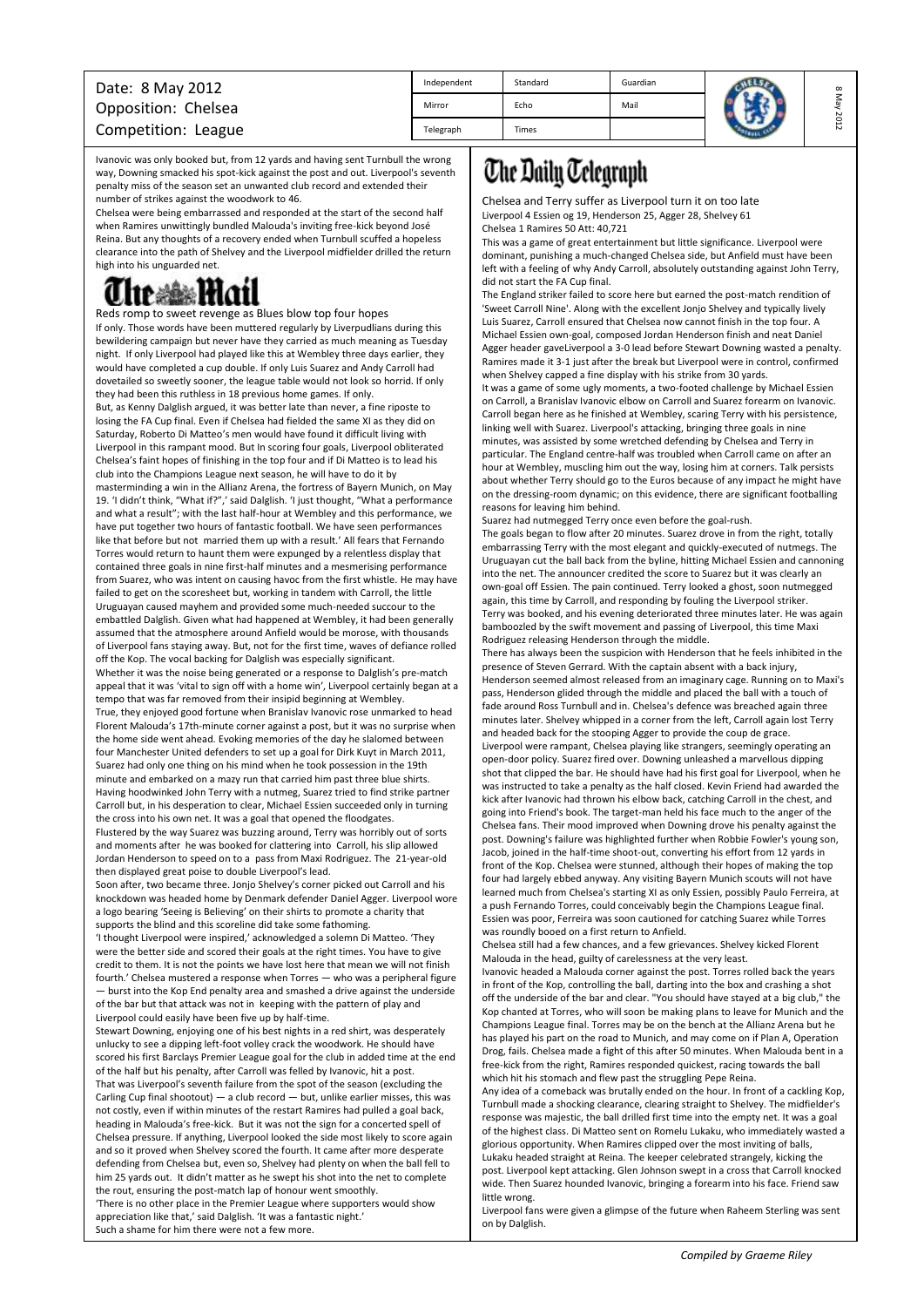| Date: 8 May 2012    | Independent | Standard     | Guardian | $\infty$<br>20 |
|---------------------|-------------|--------------|----------|----------------|
| Opposition: Chelsea | Mirror      | Echo         | Mail     |                |
| Competition: League | Telegraph   | <b>Times</b> |          | $\sim$         |

Ivanovic was only booked but, from 12 yards and having sent Turnbull the wrong way, Downing smacked his spot-kick against the post and out. Liverpool's seventh penalty miss of the season set an unwanted club record and extended their number of strikes against the woodwork to 46.

Chelsea were being embarrassed and responded at the start of the second half when Ramires unwittingly bundled Malouda's inviting free-kick beyond José Reina. But any thoughts of a recovery ended when Turnbull scuffed a hopeless clearance into the path of Shelvey and the Liverpool midfielder drilled the return high into his unguarded net.

## The **Mail**

Reds romp to sweet revenge as Blues blow top four hopes If only. Those words have been muttered regularly by Liverpudlians during this bewildering campaign but never have they carried as much meaning as Tuesday night. If only Liverpool had played like this at Wembley three days earlier, they would have completed a cup double. If only Luis Suarez and Andy Carroll had dovetailed so sweetly sooner, the league table would not look so horrid. If only they had been this ruthless in 18 previous home games. If only. But, as Kenny Dalglish argued, it was better late than never, a fine riposte to

losing the FA Cup final. Even if Chelsea had fielded the same XI as they did on Saturday, Roberto Di Matteo's men would have found it difficult living with Liverpool in this rampant mood. But In scoring four goals, Liverpool obliterated Chelsea's faint hopes of finishing in the top four and if Di Matteo is to lead his club into the Champions League next season, he will have to do it by masterminding a win in the Allianz Arena, the fortress of Bayern Munich, on May 19. 'I didn't think, "What if?",' said Dalglish. 'I just thought, "What a performance and what a result"; with the last half-hour at Wembley and this performance, we have put together two hours of fantastic football. We have seen performances like that before but not married them up with a result.' All fears that Fernando Torres would return to haunt them were expunged by a relentless display that contained three goals in nine first-half minutes and a mesmerising performance from Suarez, who was intent on causing havoc from the first whistle. He may have failed to get on the scoresheet but, working in tandem with Carroll, the little Uruguayan caused mayhem and provided some much-needed succour to the embattled Dalglish. Given what had happened at Wembley, it had been generally assumed that the atmosphere around Anfield would be morose, with thousands of Liverpool fans staying away. But, not for the first time, waves of defiance rolled off the Kop. The vocal backing for Dalglish was especially significant.

Whether it was the noise being generated or a response to Dalglish's pre-match appeal that it was 'vital to sign off with a home win', Liverpool certainly began at a tempo that was far removed from their insipid beginning at Wembley. True, they enjoyed good fortune when Branislav Ivanovic rose unmarked to head Florent Malouda's 17th-minute corner against a post, but it was no surprise when the home side went ahead. Evoking memories of the day he slalomed between four Manchester United defenders to set up a goal for Dirk Kuyt in March 2011, Suarez had only one thing on his mind when he took possession in the 19th minute and embarked on a mazy run that carried him past three blue shirts.

Having hoodwinked John Terry with a nutmeg, Suarez tried to find strike partner Carroll but, in his desperation to clear, Michael Essien succeeded only in turning the cross into his own net. It was a goal that opened the floodgates. Flustered by the way Suarez was buzzing around, Terry was horribly out of sorts

and moments after he was booked for clattering into Carroll, his slip allowed Jordan Henderson to speed on to a pass from Maxi Rodriguez. The 21-year-old then displayed great poise to double Liverpool's lead.

Soon after, two became three. Jonjo Shelvey's corner picked out Carroll and his knockdown was headed home by Denmark defender Daniel Agger. Liverpool wore a logo bearing 'Seeing is Believing' on their shirts to promote a charity that supports the blind and this scoreline did take some fathoming.

'I thought Liverpool were inspired,' acknowledged a solemn Di Matteo. 'They were the better side and scored their goals at the right times. You have to give credit to them. It is not the points we have lost here that mean we will not finish fourth.' Chelsea mustered a response when Torres — who was a peripheral figure — burst into the Kop End penalty area and smashed a drive against the underside of the bar but that attack was not in keeping with the pattern of play and Liverpool could easily have been five up by half-time.

Stewart Downing, enjoying one of his best nights in a red shirt, was desperately unlucky to see a dipping left-foot volley crack the woodwork. He should have scored his first Barclays Premier League goal for the club in added time at the end of the half but his penalty, after Carroll was felled by Ivanovic, hit a post. That was Liverpool's seventh failure from the spot of the season (excluding the Carling Cup final shootout) — a club record — but, unlike earlier misses, this was not costly, even if within minutes of the restart Ramires had pulled a goal back, heading in Malouda's free-kick. But it was not the sign for a concerted spell of Chelsea pressure. If anything, Liverpool looked the side most likely to score again and so it proved when Shelvey scored the fourth. It came after more desperate defending from Chelsea but, even so, Shelvey had plenty on when the ball fell to him 25 yards out. It didn't matter as he swept his shot into the net to complete the rout, ensuring the post-match lap of honour went smoothly.

'There is no other place in the Premier League where supporters would show appreciation like that,' said Dalglish. 'It was a fantastic night.' Such a shame for him there were not a few more.

## **The Daily Telegraph**

Chelsea and Terry suffer as Liverpool turn it on too late Liverpool 4 Essien og 19, Henderson 25, Agger 28, Shelvey 61 Chelsea 1 Ramires 50 Att: 40,721

This was a game of great entertainment but little significance. Liverpool were dominant, punishing a much-changed Chelsea side, but Anfield must have been left with a feeling of why Andy Carroll, absolutely outstanding against John Terry, did not start the FA Cup final.

The England striker failed to score here but earned the post-match rendition of 'Sweet Carroll Nine'. Along with the excellent Jonjo Shelvey and typically lively Luis Suarez, Carroll ensured that Chelsea now cannot finish in the top four. A Michael Essien own-goal, composed Jordan Henderson finish and neat Daniel Agger header gaveLiverpool a 3-0 lead before Stewart Downing wasted a penalty. Ramires made it 3-1 just after the break but Liverpool were in control, confirmed when Shelvey capped a fine display with his strike from 30 yards.

It was a game of some ugly moments, a two-footed challenge by Michael Essien on Carroll, a Branislav Ivanovic elbow on Carroll and Suarez forearm on Ivanovic. Carroll began here as he finished at Wembley, scaring Terry with his persistence, linking well with Suarez. Liverpool's attacking, bringing three goals in nine minutes, was assisted by some wretched defending by Chelsea and Terry in particular. The England centre-half was troubled when Carroll came on after an hour at Wembley, muscling him out the way, losing him at corners. Talk persists about whether Terry should go to the Euros because of any impact he might have on the dressing-room dynamic; on this evidence, there are significant footballing reasons for leaving him behind.

Suarez had nutmegged Terry once even before the goal-rush.

The goals began to flow after 20 minutes. Suarez drove in from the right, totally embarrassing Terry with the most elegant and quickly-executed of nutmegs. The Uruguayan cut the ball back from the byline, hitting Michael Essien and cannoning into the net. The announcer credited the score to Suarez but it was clearly an own-goal off Essien. The pain continued. Terry looked a ghost, soon nutmegged again, this time by Carroll, and responding by fouling the Liverpool striker. Terry was booked, and his evening deteriorated three minutes later. He was again bamboozled by the swift movement and passing of Liverpool, this time Maxi Rodriguez releasing Henderson through the middle.

There has always been the suspicion with Henderson that he feels inhibited in the presence of Steven Gerrard. With the captain absent with a back injury, Henderson seemed almost released from an imaginary cage. Running on to Maxi's pass, Henderson glided through the middle and placed the ball with a touch of fade around Ross Turnbull and in. Chelsea's defence was breached again three minutes later. Shelvey whipped in a corner from the left, Carroll again lost Terry and headed back for the stooping Agger to provide the coup de grace. Liverpool were rampant, Chelsea playing like strangers, seemingly operating an open-door policy. Suarez fired over. Downing unleashed a marvellous dipping shot that clipped the bar. He should have had his first goal for Liverpool, when he was instructed to take a penalty as the half closed. Kevin Friend had awarded the kick after Ivanovic had thrown his elbow back, catching Carroll in the chest, and going into Friend's book. The target-man held his face much to the anger of the Chelsea fans. Their mood improved when Downing drove his penalty against the post. Downing's failure was highlighted further when Robbie Fowler's young son, Jacob, joined in the half-time shoot-out, converting his effort from 12 yards in front of the Kop. Chelsea were stunned, although their hopes of making the top four had largely ebbed anyway. Any visiting Bayern Munich scouts will not have learned much from Chelsea's starting XI as only Essien, possibly Paulo Ferreira, at a push Fernando Torres, could conceivably begin the Champions League final. Essien was poor, Ferreira was soon cautioned for catching Suarez while Torres was roundly booed on a first return to Anfield.

Chelsea still had a few chances, and a few grievances. Shelvey kicked Florent Malouda in the head, guilty of carelessness at the very least.

Ivanovic headed a Malouda corner against the post. Torres rolled back the years in front of the Kop, controlling the ball, darting into the box and crashing a shot off the underside of the bar and clear. "You should have stayed at a big club," the Kop chanted at Torres, who will soon be making plans to leave for Munich and the Champions League final. Torres may be on the bench at the Allianz Arena but he has played his part on the road to Munich, and may come on if Plan A, Operation Drog, fails. Chelsea made a fight of this after 50 minutes. When Malouda bent in a free-kick from the right, Ramires responded quickest, racing towards the ball which hit his stomach and flew past the struggling Pepe Reina.

Any idea of a comeback was brutally ended on the hour. In front of a cackling Kop, Turnbull made a shocking clearance, clearing straight to Shelvey. The midfielder's response was majestic, the ball drilled first time into the empty net. It was a goal of the highest class. Di Matteo sent on Romelu Lukaku, who immediately wasted a glorious opportunity. When Ramires clipped over the most inviting of balls, Lukaku headed straight at Reina. The keeper celebrated strangely, kicking the post. Liverpool kept attacking. Glen Johnson swept in a cross that Carroll knocked wide. Then Suarez hounded Ivanovic, bringing a forearm into his face. Friend saw little wrong.

Liverpool fans were given a glimpse of the future when Raheem Sterling was sent on by Dalglish.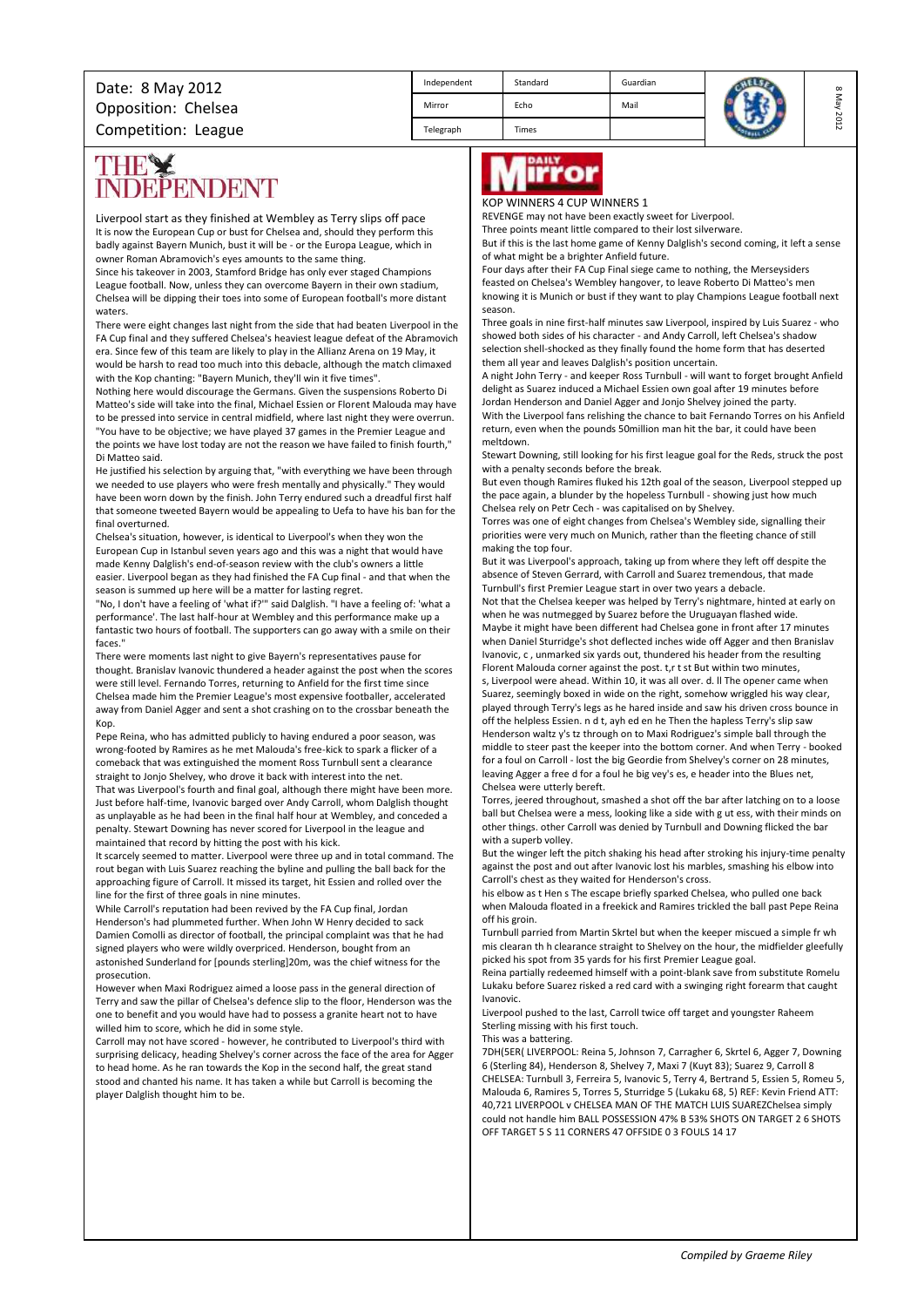| Date: 8 May 2012    | Independent | Standard     | Guardian | $\infty$ |
|---------------------|-------------|--------------|----------|----------|
| Opposition: Chelsea | Mirror      | Echo         | Mail     | 읍        |
| Competition: League | Telegraph   | <b>Times</b> |          | 2012     |
|                     |             |              |          |          |

### THEY **INDEPENDENT**

Liverpool start as they finished at Wembley as Terry slips off pace It is now the European Cup or bust for Chelsea and, should they perform this badly against Bayern Munich, bust it will be - or the Europa League, which in owner Roman Abramovich's eyes amounts to the same thing.

Since his takeover in 2003, Stamford Bridge has only ever staged Champions League football. Now, unless they can overcome Bayern in their own stadium, Chelsea will be dipping their toes into some of European football's more distant waters.

There were eight changes last night from the side that had beaten Liverpool in the FA Cup final and they suffered Chelsea's heaviest league defeat of the Abramovich era. Since few of this team are likely to play in the Allianz Arena on 19 May, it would be harsh to read too much into this debacle, although the match climaxed with the Kop chanting: "Bayern Munich, they'll win it five times".

Nothing here would discourage the Germans. Given the suspensions Roberto Di Matteo's side will take into the final, Michael Essien or Florent Malouda may have to be pressed into service in central midfield, where last night they were overrun. "You have to be objective; we have played 37 games in the Premier League and the points we have lost today are not the reason we have failed to finish fourth,' Di Matteo said.

He justified his selection by arguing that, "with everything we have been through we needed to use players who were fresh mentally and physically." They would have been worn down by the finish. John Terry endured such a dreadful first half that someone tweeted Bayern would be appealing to Uefa to have his ban for the final overturned.

Chelsea's situation, however, is identical to Liverpool's when they won the European Cup in Istanbul seven years ago and this was a night that would have made Kenny Dalglish's end-of-season review with the club's owners a little easier. Liverpool began as they had finished the FA Cup final - and that when the season is summed up here will be a matter for lasting regret.

"No, I don't have a feeling of 'what if?'" said Dalglish. "I have a feeling of: 'what a performance'. The last half-hour at Wembley and this performance make up a fantastic two hours of football. The supporters can go away with a smile on their faces<sup>"</sup>

There were moments last night to give Bayern's representatives pause for thought. Branislav Ivanovic thundered a header against the post when the scores were still level. Fernando Torres, returning to Anfield for the first time since Chelsea made him the Premier League's most expensive footballer, accelerated away from Daniel Agger and sent a shot crashing on to the crossbar beneath the Kop.

Pepe Reina, who has admitted publicly to having endured a poor season, was wrong-footed by Ramires as he met Malouda's free-kick to spark a flicker of a comeback that was extinguished the moment Ross Turnbull sent a clearance straight to Jonjo Shelvey, who drove it back with interest into the net. That was Liverpool's fourth and final goal, although there might have been more. Just before half-time, Ivanovic barged over Andy Carroll, whom Dalglish thought as unplayable as he had been in the final half hour at Wembley, and conceded a penalty. Stewart Downing has never scored for Liverpool in the league and maintained that record by hitting the post with his kick.

It scarcely seemed to matter. Liverpool were three up and in total command. The rout began with Luis Suarez reaching the byline and pulling the ball back for the approaching figure of Carroll. It missed its target, hit Essien and rolled over the line for the first of three goals in nine minutes.

While Carroll's reputation had been revived by the FA Cup final, Jordan Henderson's had plummeted further. When John W Henry decided to sack Damien Comolli as director of football, the principal complaint was that he had signed players who were wildly overpriced. Henderson, bought from an astonished Sunderland for [pounds sterling]20m, was the chief witness for the prosecution.

However when Maxi Rodriguez aimed a loose pass in the general direction of Terry and saw the pillar of Chelsea's defence slip to the floor, Henderson was the one to benefit and you would have had to possess a granite heart not to have willed him to score, which he did in some style.

Carroll may not have scored - however, he contributed to Liverpool's third with surprising delicacy, heading Shelvey's corner across the face of the area for Agger to head home. As he ran towards the Kop in the second half, the great stand stood and chanted his name. It has taken a while but Carroll is becoming the player Dalglish thought him to be.



#### KOP WINNERS 4 CUP WINNERS 1

REVENGE may not have been exactly sweet for Liverpool.

Three points meant little compared to their lost silverware.

But if this is the last home game of Kenny Dalglish's second coming, it left a sense of what might be a brighter Anfield future.

Four days after their FA Cup Final siege came to nothing, the Merseysiders feasted on Chelsea's Wembley hangover, to leave Roberto Di Matteo's men knowing it is Munich or bust if they want to play Champions League football next season.

Three goals in nine first-half minutes saw Liverpool, inspired by Luis Suarez - who showed both sides of his character - and Andy Carroll, left Chelsea's shadow selection shell-shocked as they finally found the home form that has deserted them all year and leaves Dalglish's position uncertain.

A night John Terry - and keeper Ross Turnbull - will want to forget brought Anfield delight as Suarez induced a Michael Essien own goal after 19 minutes before Jordan Henderson and Daniel Agger and Jonjo Shelvey joined the party.

With the Liverpool fans relishing the chance to bait Fernando Torres on his Anfield return, even when the pounds 50million man hit the bar, it could have been meltdown.

Stewart Downing, still looking for his first league goal for the Reds, struck the post with a penalty seconds before the break.

But even though Ramires fluked his 12th goal of the season, Liverpool stepped up the pace again, a blunder by the hopeless Turnbull - showing just how much Chelsea rely on Petr Cech - was capitalised on by Shelvey.

Torres was one of eight changes from Chelsea's Wembley side, signalling their priorities were very much on Munich, rather than the fleeting chance of still making the top four.

But it was Liverpool's approach, taking up from where they left off despite the absence of Steven Gerrard, with Carroll and Suarez tremendous, that made Turnbull's first Premier League start in over two years a debacle.

Not that the Chelsea keeper was helped by Terry's nightmare, hinted at early on when he was nutmegged by Suarez before the Uruguayan flashed wide.

Maybe it might have been different had Chelsea gone in front after 17 minutes when Daniel Sturridge's shot deflected inches wide off Agger and then Branislav Ivanovic, c , unmarked six yards out, thundered his header from the resulting Florent Malouda corner against the post. t,r t st But within two minutes,

s, Liverpool were ahead. Within 10, it was all over. d. ll The opener came when Suarez, seemingly boxed in wide on the right, somehow wriggled his way clear, played through Terry's legs as he hared inside and saw his driven cross bounce in off the helpless Essien. n d t, ayh ed en he Then the hapless Terry's slip saw Henderson waltz y's tz through on to Maxi Rodriguez's simple ball through the middle to steer past the keeper into the bottom corner. And when Terry - booked for a foul on Carroll - lost the big Geordie from Shelvey's corner on 28 minutes, leaving Agger a free d for a foul he big vey's es, e header into the Blues net, Chelsea were utterly bereft.

Torres, jeered throughout, smashed a shot off the bar after latching on to a loose ball but Chelsea were a mess, looking like a side with g ut ess, with their minds on other things. other Carroll was denied by Turnbull and Downing flicked the bar with a superb volley.

But the winger left the pitch shaking his head after stroking his injury-time penalty against the post and out after Ivanovic lost his marbles, smashing his elbow into Carroll's chest as they waited for Henderson's cross.

his elbow as t Hen s The escape briefly sparked Chelsea, who pulled one back when Malouda floated in a freekick and Ramires trickled the ball past Pepe Reina off his groin.

Turnbull parried from Martin Skrtel but when the keeper miscued a simple fr wh mis clearan th h clearance straight to Shelvey on the hour, the midfielder gleefully picked his spot from 35 yards for his first Premier League goal.

Reina partially redeemed himself with a point-blank save from substitute Romelu Lukaku before Suarez risked a red card with a swinging right forearm that caught Ivanovic.

Liverpool pushed to the last, Carroll twice off target and youngster Raheem Sterling missing with his first touch.

This was a battering.

7DH(5ER( LIVERPOOL: Reina 5, Johnson 7, Carragher 6, Skrtel 6, Agger 7, Downing 6 (Sterling 84), Henderson 8, Shelvey 7, Maxi 7 (Kuyt 83); Suarez 9, Carroll 8 CHELSEA: Turnbull 3, Ferreira 5, Ivanovic 5, Terry 4, Bertrand 5, Essien 5, Romeu 5, Malouda 6, Ramires 5, Torres 5, Sturridge 5 (Lukaku 68, 5) REF: Kevin Friend ATT: 40,721 LIVERPOOL v CHELSEA MAN OF THE MATCH LUIS SUAREZChelsea simply could not handle him BALL POSSESSION 47% B 53% SHOTS ON TARGET 2 6 SHOTS OFF TARGET 5 S 11 CORNERS 47 OFFSIDE 0 3 FOULS 14 17